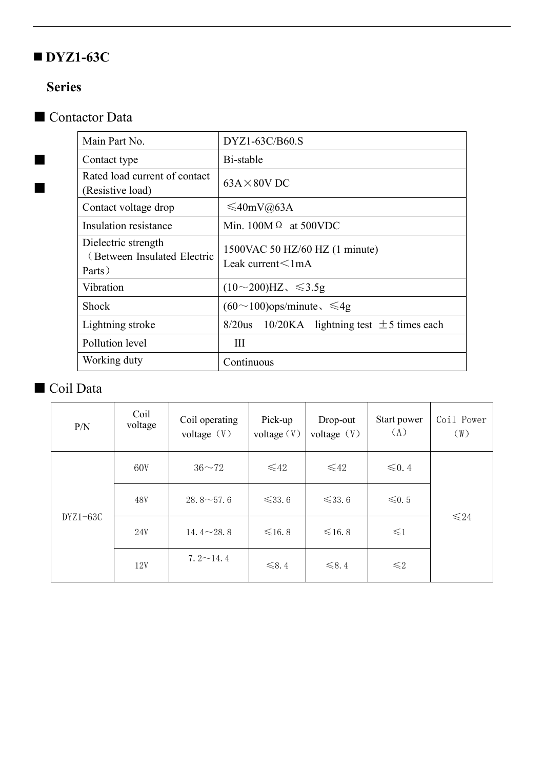## **DYZ1-63C**

## **Series**



| Main Part No.                                                | DYZ1-63C/B60.S                                             |  |  |  |
|--------------------------------------------------------------|------------------------------------------------------------|--|--|--|
| Contact type                                                 | Bi-stable                                                  |  |  |  |
| Rated load current of contact<br>(Resistive load)            | $63A \times 80V$ DC                                        |  |  |  |
| Contact voltage drop                                         | $\leq 40$ mV@63A                                           |  |  |  |
| Insulation resistance                                        | Min. $100M \Omega$ at 500VDC                               |  |  |  |
| Dielectric strength<br>(Between Insulated Electric<br>Parts) | 1500VAC 50 HZ/60 HZ (1 minute)<br>Leak current $\leq 1$ mA |  |  |  |
| Vibration                                                    | $(10{\sim}200)$ HZ, $\leq 3.5g$                            |  |  |  |
| Shock                                                        | $(60 \sim 100)$ ops/minute, $\leq 4g$                      |  |  |  |
| Lightning stroke                                             | $8/20$ us 10/20KA lightning test $\pm$ 5 times each        |  |  |  |
| Pollution level                                              | Ш                                                          |  |  |  |
| Working duty                                                 | Continuous                                                 |  |  |  |
|                                                              |                                                            |  |  |  |

## ■ Coil Data

| P/N        | Coil<br>voltage | Coil operating<br>voltage $(V)$ | Pick-up<br>voltage(V) | Drop-out<br>voltage $(V)$ | Start power<br>(A) | Coil Power<br>(W) |
|------------|-----------------|---------------------------------|-----------------------|---------------------------|--------------------|-------------------|
| $DYZ1-63C$ | 60V             | $36 - 72$                       | $\leq 42$             | $\leq 42$                 | $\leq 0.4$         | $≤24$             |
|            | 48V             | $28.8 \sim 57.6$                | $\leq 33.6$           | $\leq 33.6$               | $\leq 0.5$         |                   |
|            | 24V             | 14.4 $\sim$ 28.8                | $\leq 16.8$           | $\leq 16.8$               | $\leq 1$           |                   |
|            | 12V             | $7.2 \sim 14.4$                 | $\leq 8.4$            | $\leq 8.4$                | $\leq 2$           |                   |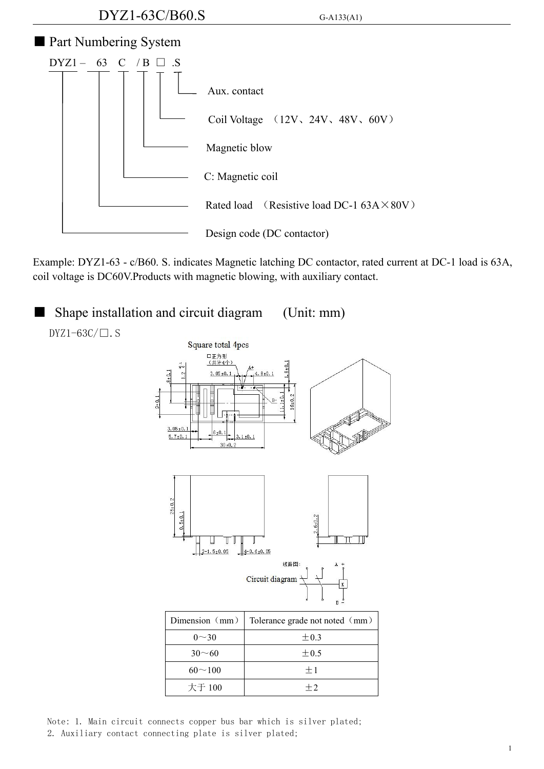

Example: DYZ1-63 - c/B60. S. indicates Magnetic latching DC contactor, rated current at DC-1 load is 63A, coil voltage is DC60V.Products with magnetic blowing, with auxiliary contact.



Note: 1. Main circuit connects copper bus bar which is silver plated; 2. Auxiliary contact connecting plate is silver plated;